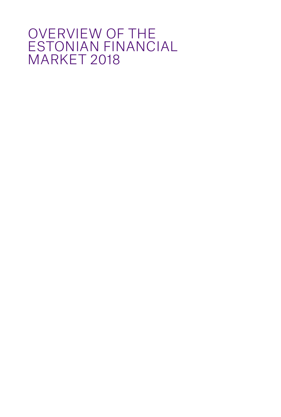### OVERVIEW OF THE ESTONIAN FINANCIAL MARKET 2018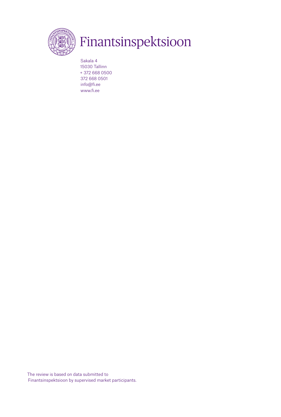

### Finantsinspektsioon

The review is based on data submitted to Finantsinspektsioon by supervised market participants.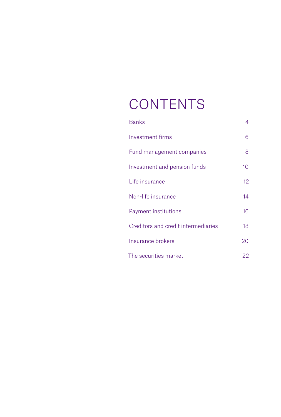## **CONTENTS**

| <b>Banks</b>                        | 4               |
|-------------------------------------|-----------------|
| Investment firms                    | 6               |
| Fund management companies           | 8               |
| Investment and pension funds        | 10 <sup>°</sup> |
| Life insurance                      | 12 <sup>°</sup> |
| Non-life insurance                  | 14              |
| Payment institutions                | 16              |
| Creditors and credit intermediaries | 18              |
| Insurance brokers                   | 20              |
| The securities market               | 22              |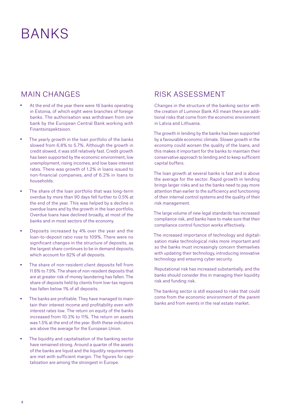### <span id="page-3-0"></span>BANKS

#### MAIN CHANGES

- At the end of the year there were 16 banks operating in Estonia, of which eight were branches of foreign banks. The authorisation was withdrawn from one bank by the European Central Bank working with Finantsinspektsioon.
- The yearly growth in the loan portfolio of the banks slowed from 6.8% to 5.7%. Although the growth in credit slowed, it was still relatively fast. Credit growth has been supported by the economic environment, low unemployment, rising incomes, and low base interest rates. There was growth of 1.2% in loans issued to non-financial companies, and of 6.2% in loans to households.
- The share of the loan portfolio that was long-term overdue by more than 90 days fell further to 0.5% at the end of the year. This was helped by a decline in overdue loans and by the growth in the loan portfolio. Overdue loans have declined broadly, at most of the banks and in most sectors of the economy.
- Deposits increased by 4% over the year and the loan-to-deposit ratio rose to 109%. There were no significant changes in the structure of deposits, as the largest share continues to be in demand deposits, which account for 82% of all deposits.
- The share of non-resident client deposits fell from 11.8% to 7.9%. The share of non-resident deposits that are at greater risk of money laundering has fallen. The share of deposits held by clients from low-tax regions has fallen below 1% of all deposits.
- The banks are profitable. They have managed to maintain their interest income and profitability even with interest rates low. The return on equity of the banks increased from 10.3% to 11%. The return on assets was 1.5% at the end of the year. Both these indicators are above the average for the European Union.
- The liquidity and capitalisation of the banking sector have remained strong. Around a quarter of the assets of the banks are liquid and the liquidity requirements are met with sufficient margin. The figures for capitalisation are among the strongest in Europe.

#### RISK ASSESSMENT

Changes in the structure of the banking sector with the creation of Luminor Bank AS mean there are additional risks that come from the economic environment in Latvia and Lithuania.

The growth in lending by the banks has been supported by a favourable economic climate. Slower growth in the economy could worsen the quality of the loans, and this makes it important for the banks to maintain their conservative approach to lending and to keep sufficient capital buffers.

The loan growth at several banks is fast and is above the average for the sector. Rapid growth in lending brings larger risks and so the banks need to pay more attention than earlier to the sufficiency and functioning of their internal control systems and the quality of their risk management.

The large volume of new legal standards has increased compliance risk, and banks have to make sure that their compliance control function works effectively.

The increased importance of technology and digitalisation make technological risks more important and so the banks must increasingly concern themselves with updating their technology, introducing innovative technology and ensuring cyber security.

Reputational risk has increased substantially, and the banks should consider this in managing their liquidity risk and funding risk.

The banking sector is still exposed to risks that could come from the economic environment of the parent banks and from events in the real estate market.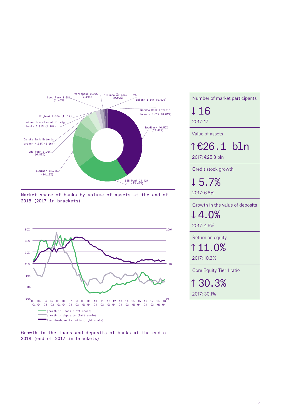

Market share of banks by volume of assets at the end of 2018 (2017 in brackets)



Growth in the loans and deposits of banks at the end of 2018 (end of 2017 in brackets)

Number of market participants

↓ 16 2017: 17

Value of assets

↑ €26.1 bln

2017: €25.3 bln

Credit stock growth

↓ 5.7%

2017: 6.8%

Growth in the value of deposits

↓ 4.0%

2017: 4.6%

Return on equity

↑ 11.0%

2017: 10.3%

Core Equity Tier 1 ratio

↑ 30.3% 2017: 30.1%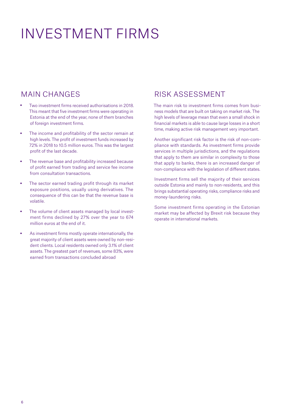### <span id="page-5-0"></span>INVESTMENT FIRMS

#### MAIN CHANGES

- Two investment firms received authorisations in 2018. This meant that five investment firms were operating in Estonia at the end of the year, none of them branches of foreign investment firms.
- The income and profitability of the sector remain at high levels. The profit of investment funds increased by 72% in 2018 to 10.5 million euros. This was the largest profit of the last decade.
- The revenue base and profitability increased because of profit earned from trading and service fee income from consultation transactions.
- The sector earned trading profit through its market exposure positions, usually using derivatives. The consequence of this can be that the revenue base is volatile.
- The volume of client assets managed by local investment firms declined by 27% over the year to 674 million euros at the end of it.
- As investment firms mostly operate internationally, the great majority of client assets were owned by non-resident clients. Local residents owned only 3.1% of client assets. The greatest part of revenues, some 83%, were earned from transactions concluded abroad

#### RISK ASSESSMENT

The main risk to investment firms comes from business models that are built on taking on market risk. The high levels of leverage mean that even a small shock in financial markets is able to cause large losses in a short time, making active risk management very important.

Another significant risk factor is the risk of non-compliance with standards. As investment firms provide services in multiple jurisdictions, and the regulations that apply to them are similar in complexity to those that apply to banks, there is an increased danger of non-compliance with the legislation of different states.

Investment firms sell the majority of their services outside Estonia and mainly to non-residents, and this brings substantial operating risks, compliance risks and money-laundering risks.

Some investment firms operating in the Estonian market may be affected by Brexit risk because they operate in international markets.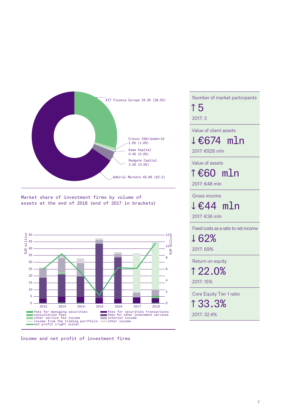

Market share of investment firms by volume of assets at the end of 2018 (end of 2017 in brackets)



Income and net profit of investment firms

Number of market participants ↑ 5 2017: 3 Value of client assets ↓ €674 mln

2017: €926 mln

Value of assets

↑ €60 mln

2017: €48 mln

Gross income

↓ €44 mln

2017: €36 mln

Fixed costs as a ratio to net income

↓ 62% 2017: 69%

Return on equity

↑ 22.0% 2017: 15%

Core Equity Tier 1 ratio

↑ 33.3% 2017: 32.4%

7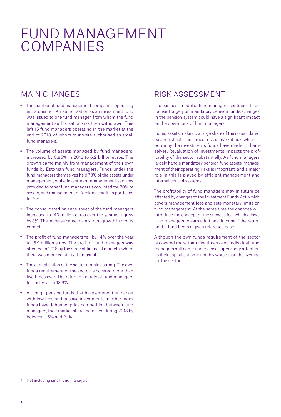### <span id="page-7-0"></span>FUND MANAGEMENT COMPANIES

#### MAIN CHANGES

- The number of fund management companies operating in Estonia fell. An authorisation as an investment fund was issued to one fund manager, from whom the fund management authorisation was then withdrawn. This left 15 fund managers operating in the market at the end of 2018, of whom four were authorised as small fund managers.
- The volume of assets managed by fund managers<sup>1</sup> increased by 0.85% in 2018 to 6.2 billion euros. The growth came mainly from management of their own funds by Estonian fund managers. Funds under the fund managers themselves held 78% of the assets under management, while investment management services provided to other fund managers accounted for 20% of assets, and management of foreign securities portfolios for 2%.
- The consolidated balance sheet of the fund managers increased to 140 million euros over the year as it grew by 8%. The increase came mainly from growth in profits earned.
- The profit of fund managers fell by 14% over the year to 16.9 million euros. The profit of fund managers was affected in 2018 by the state of financial markets, where there was more volatility than usual.
- The capitalisation of the sector remains strong. The own funds requirement of the sector is covered more than five times over. The return on equity of fund managers fell last year to 13.6%.
- Although pension funds that have entered the market with low fees and passive investments in other index funds have tightened price competition between fund managers, their market share increased during 2018 by between 1.5% and 2.1%.

### RISK ASSESSMENT

The business model of fund managers continues to be focused largely on mandatory pension funds. Changes in the pension system could have a significant impact on the operations of fund managers.

Liquid assets make up a large share of the consolidated balance sheet. The largest risk is market risk, which is borne by the investments funds have made in themselves. Revaluation of investments impacts the profitability of the sector substantially. As fund managers largely handle mandatory pension fund assets, management of their operating risks is important, and a major role in this is played by efficient management and internal control systems.

The profitability of fund managers may in future be affected by changes to the Investment Funds Act, which covers management fees and sets monetary limits on fund management. At the same time the changes will introduce the concept of the success fee, which allows fund managers to earn additional income if the return on the fund beats a given reference base.

Although the own funds requirement of the sector is covered more than five times over, individual fund managers still come under close supervisory attention as their capitalisation is notably worse than the average for the sector.

<sup>1</sup> Not including small fund managers.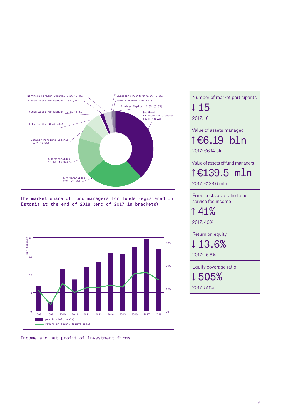

The market share of fund managers for funds registered in Estonia at the end of 2018 (end of 2017 in brackets)



#### Income and net profit of investment firms

2017: 16 Value of assets managed ↑ €6.19 bln 2017: €6.14 bln Value of assets of fund managers ↑ €139.5 mln 2017: €128.6 mln Fixed costs as a ratio to net service fee income ↑ 41% 2017: 40% Return on equity ↓ 13.6% 2017: 16.8% Equity coverage ratio ↓ 505% 2017: 511%

Number of market participants

↓15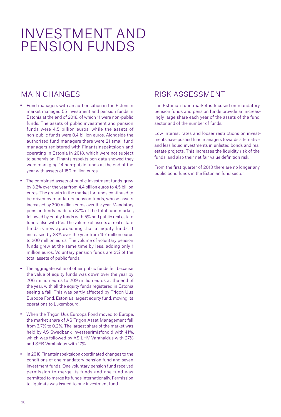### <span id="page-9-0"></span>INVESTMENT AND PENSION FUNDS

#### MAIN CHANGES

- Fund managers with an authorisation in the Estonian market managed 55 investment and pension funds in Estonia at the end of 2018, of which 11 were non-public funds. The assets of public investment and pension funds were 4.5 billion euros, while the assets of non-public funds were 0.4 billion euros. Alongside the authorised fund managers there were 21 small fund managers registered with Finantsinspektsioon and operating in Estonia in 2018, which were not subject to supervision. Finantsinspektsioon data showed they were managing 14 non-public funds at the end of the year with assets of 150 million euros.
- The combined assets of public investment funds grew by 3.2% over the year from 4.4 billion euros to 4.5 billion euros. The growth in the market for funds continued to be driven by mandatory pension funds, whose assets increased by 300 million euros over the year. Mandatory pension funds made up 87% of the total fund market, followed by equity funds with 5% and public real estate funds, also with 5%. The volume of assets at real estate funds is now approaching that at equity funds. It increased by 28% over the year from 157 million euros to 200 million euros. The volume of voluntary pension funds grew at the same time by less, adding only 1 million euros. Voluntary pension funds are 3% of the total assets of public funds.
- The aggregate value of other public funds fell because the value of equity funds was down over the year by 206 million euros to 209 million euros at the end of the year, with all the equity funds registered in Estonia seeing a fall. This was partly affected by Trigon Uus Euroopa Fond, Estonia's largest equity fund, moving its operations to Luxembourg.
- When the Trigon Uus Euroopa Fond moved to Europe, the market share of AS Trigon Asset Management fell from 3.7% to 0.2%. The largest share of the market was held by AS Swedbank Investeerimisfondid with 41%, which was followed by AS LHV Varahaldus with 27% and SEB Varahaldus with 17%.
- In 2018 Finantsinspektsioon coordinated changes to the conditions of one mandatory pension fund and seven investment funds. One voluntary pension fund received permission to merge its funds and one fund was permitted to merge its funds internationally. Permission to liquidate was issued to one investment fund.

#### RISK ASSESSMENT

The Estonian fund market is focused on mandatory pension funds and pension funds provide an increasingly large share each year of the assets of the fund sector and of the number of funds.

Low interest rates and looser restrictions on investments have pushed fund managers towards alternative and less liquid investments in unlisted bonds and real estate projects. This increases the liquidity risk of the funds, and also their net fair value definition risk.

From the first quarter of 2018 there are no longer any public bond funds in the Estonian fund sector.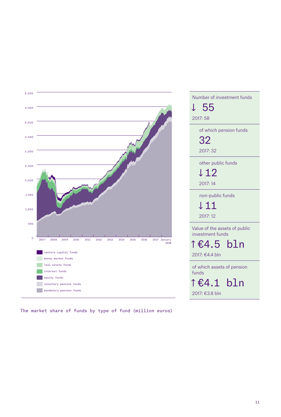

The market share of funds by type of fund (million euros)

| Number of investment funds                        |
|---------------------------------------------------|
| ↓ 55                                              |
| 2017:58                                           |
| of which pension funds                            |
| 32                                                |
| 2017: 32                                          |
| other public funds                                |
| ↓12                                               |
| 2017:14                                           |
| non-public funds                                  |
| ↓11                                               |
| 2017:12                                           |
| Value of the assets of public<br>investment funds |
| î€4.5 bln                                         |
| 2017: €4.4 bln                                    |
|                                                   |
| of which assets of pension<br>funds               |
| î€4.1 bln                                         |
| 2017: €3.8 bln                                    |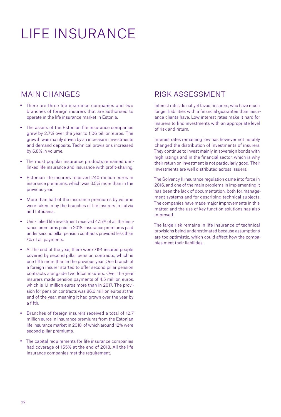# <span id="page-11-0"></span>LIFE INSURANCE

#### MAIN CHANGES

- There are three life insurance companies and two branches of foreign insurers that are authorised to operate in the life insurance market in Estonia.
- The assets of the Estonian life insurance companies grew by 2.7% over the year to 1.06 billion euros. The growth was mainly driven by an increase in investments and demand deposits. Technical provisions increased by 6.8% in volume.
- The most popular insurance products remained unitlinked life insurance and insurance with profit-sharing.
- Estonian life insurers received 240 million euros in insurance premiums, which was 3.5% more than in the previous year.
- More than half of the insurance premiums by volume were taken in by the branches of life insurers in Latvia and Lithuania.
- Unit-linked life investment received 47.5% of all the insurance premiums paid in 2018. Insurance premiums paid under second pillar pension contracts provided less than 7% of all payments.
- At the end of the year, there were 7191 insured people covered by second pillar pension contracts, which is one fifth more than in the previous year. One branch of a foreign insurer started to offer second pillar pension contracts alongside two local insurers. Over the year insurers made pension payments of 4.5 million euros, which is 1.1 million euros more than in 2017. The provision for pension contracts was 86.6 million euros at the end of the year, meaning it had grown over the year by a fifth.
- Branches of foreign insurers received a total of 12.7 million euros in insurance premiums from the Estonian life insurance market in 2018, of which around 12% were second pillar premiums.
- The capital requirements for life insurance companies had coverage of 155% at the end of 2018. All the life insurance companies met the requirement.

#### RISK ASSESSMENT

Interest rates do not yet favour insurers, who have much longer liabilities with a financial guarantee than insurance clients have. Low interest rates make it hard for insurers to find investments with an appropriate level of risk and return.

Interest rates remaining low has however not notably changed the distribution of investments of insurers. They continue to invest mainly in sovereign bonds with high ratings and in the financial sector, which is why their return on investment is not particularly good. Their investments are well distributed across issuers.

The Solvency II insurance regulation came into force in 2016, and one of the main problems in implementing it has been the lack of documentation, both for management systems and for describing technical subjects. The companies have made major improvements in this matter, and the use of key function solutions has also improved.

The large risk remains in life insurance of technical provisions being underestimated because assumptions are too optimistic, which could affect how the companies meet their liabilities.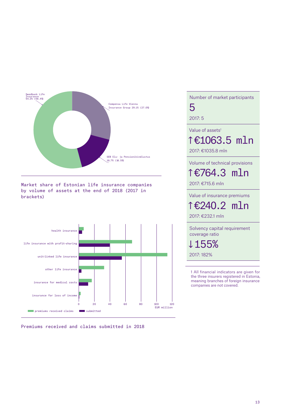

Market share of Estonian life insurance companies by volume of assets at the end of 2018 (2017 in brackets)



Premiums received and claims submitted in 2018

Number of market participants 5 2017: 5 Value of assets<sup>1</sup> ↑ €1063.5 mln 2017: €1035.8 mln Volume of technical provisions ↑ €764.3 mln 2017: €715.6 mln Value of insurance premiums ↑ €240.2 mln 2017: €232.1 mln Solvency capital requirement coverage ratio ↓ 155% 2017: 182%

> 1 All financial indicators are given for the three insurers registered in Estonia, meaning branches of foreign insurance companies are not covered.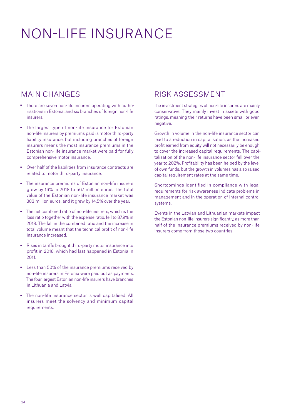## <span id="page-13-0"></span>NON-LIFE INSURANCE

#### MAIN CHANGES

- There are seven non-life insurers operating with authorisations in Estonia, and six branches of foreign non-life insurers.
- The largest type of non-life insurance for Estonian non-life insurers by premiums paid is motor third-party liability insurance, but including branches of foreign insurers means the most insurance premiums in the Estonian non-life insurance market were paid for fully comprehensive motor insurance.
- Over half of the liabilities from insurance contracts are related to motor third-party insurance.
- The insurance premiums of Estonian non-life insurers grew by 16% in 2018 to 567 million euros. The total value of the Estonian non-life insurance market was 383 million euros, and it grew by 14.5% over the year.
- The net combined ratio of non-life insurers, which is the loss ratio together with the expense ratio, fell to 87.9% in 2018. The fall in the combined ratio and the increase in total volume meant that the technical profit of non-life insurance increased.
- Rises in tariffs brought third-party motor insurance into profit in 2018, which had last happened in Estonia in 2011.
- Less than 50% of the insurance premiums received by non-life insurers in Estonia were paid out as payments. The four largest Estonian non-life insurers have branches in Lithuania and Latvia.
- The non-life insurance sector is well capitalised. All insurers meet the solvency and minimum capital requirements.

#### RISK ASSESSMENT

The investment strategies of non-life insurers are mainly conservative. They mainly invest in assets with good ratings, meaning their returns have been small or even negative.

Growth in volume in the non-life insurance sector can lead to a reduction in capitalisation, as the increased profit earned from equity will not necessarily be enough to cover the increased capital requirements. The capitalisation of the non-life insurance sector fell over the year to 202%. Profitability has been helped by the level of own funds, but the growth in volumes has also raised capital requirement rates at the same time.

Shortcomings identified in compliance with legal requirements for risk awareness indicate problems in management and in the operation of internal control systems.

Events in the Latvian and Lithuanian markets impact the Estonian non-life insurers significantly, as more than half of the insurance premiums received by non-life insurers come from those two countries.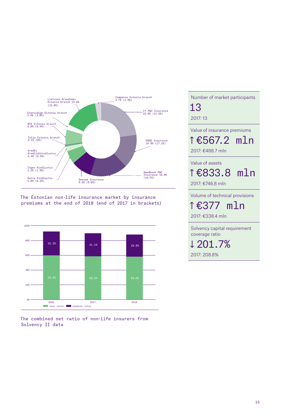

The Estonian non-life insurance market by insurance premiums at the end of 2018 (end of 2017 in brackets)



The combined net ratio of non-life insurers from Solvency II data

Number of market participants 13 2017: 13 Value of insurance premiums ↑ €567.2 mln 2017: €488.7 mln Value of assets ↑ €833.8 mln 2017: €746.8 mln Volume of technical provisions ↑ €377 mln 2017: €338.4 mln Solvency capital requirement coverage ratio ↓ 201.7% 2017: 208.8%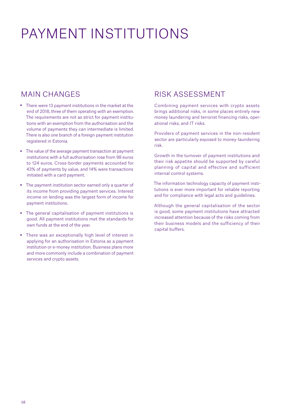## <span id="page-15-0"></span>PAYMENT INSTITUTIONS

#### MAIN CHANGES

- There were 13 payment institutions in the market at the end of 2018, three of them operating with an exemption. The requirements are not as strict for payment institutions with an exemption from the authorisation and the volume of payments they can intermediate is limited. There is also one branch of a foreign payment institution registered in Estonia.
- The value of the average payment transaction at payment institutions with a full authorisation rose from 98 euros to 124 euros. Cross-border payments accounted for 43% of payments by value, and 14% were transactions initiated with a card payment.
- The payment institution sector earned only a quarter of its income from providing payment services. Interest income on lending was the largest form of income for payment institutions.
- The general capitalisation of payment institutions is good. All payment institutions met the standards for own funds at the end of the year.
- There was an exceptionally high level of interest in applying for an authorisation in Estonia as a payment institution or e-money institution. Business plans more and more commonly include a combination of payment services and crypto assets.

#### RISK ASSESSMENT

- Combining payment services with crypto assets brings additional risks, in some places entirely new money laundering and terrorist financing risks, operational risks, and IT risks.
- Providers of payment services in the non-resident sector are particularly exposed to money-laundering risk.
- Growth in the turnover of payment institutions and their risk appetite should be supported by careful planning of capital and effective and sufficient internal control systems.
- The information technology capacity of payment institutions is ever more important for reliable reporting and for compliance with legal acts and guidelines.
- Although the general capitalisation of the sector is good, some payment institutions have attracted increased attention because of the risks coming from their business models and the sufficiency of their capital buffers.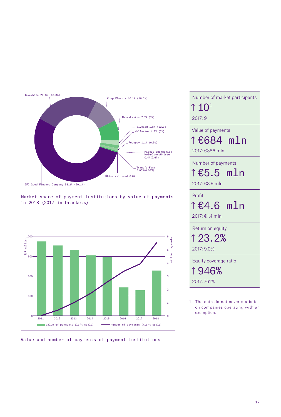





Value and number of payments of payment institutions

Number of market participants ↑ 101 2017: 9 Value of payments ↑ €684 mln 2017: €386 mln Number of payments ↑ €5.5 mln 2017: €3.9 mln Profit ↑ €4.6 mln 2017: €1.4 mln Return on equity ↑ 23.2% 2017: 9.0% Equity coverage ratio ↑ 946% 2017: 761% 1 The data do not cover statistics on companies operating with an

exemption.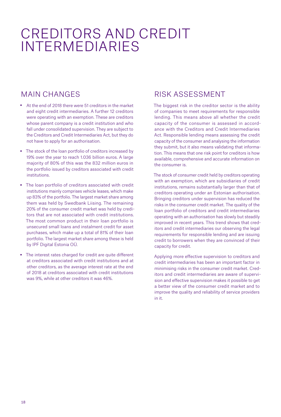### <span id="page-17-0"></span>CREDITORS AND CREDIT INTERMEDIARIES

#### MAIN CHANGES

- At the end of 2018 there were 51 creditors in the market and eight credit intermediaries. A further 12 creditors were operating with an exemption. These are creditors whose parent company is a credit institution and who fall under consolidated supervision. They are subject to the Creditors and Credit Intermediaries Act, but they do not have to apply for an authorisation.
- The stock of the loan portfolio of creditors increased by 19% over the year to reach 1.036 billion euros. A large majority of 80% of this was the 832 million euros in the portfolio issued by creditors associated with credit institutions.
- The loan portfolio of creditors associated with credit institutions mainly comprises vehicle leases, which make up 83% of the portfolio. The largest market share among them was held by Swedbank Liising. The remaining 20% of the consumer credit market was held by creditors that are not associated with credit institutions. The most common product in their loan portfolio is unsecured small loans and instalment credit for asset purchases, which make up a total of 81% of their loan portfolio. The largest market share among these is held by IPF Digital Estonia OÜ.
- The interest rates charged for credit are quite different at creditors associated with credit institutions and at other creditors, as the average interest rate at the end of 2018 at creditors associated with credit institutions was 9%, while at other creditors it was 46%.

#### RISK ASSESSMENT

The biggest risk in the creditor sector is the ability of companies to meet requirements for responsible lending. This means above all whether the credit capacity of the consumer is assessed in accordance with the Creditors and Credit Intermediaries Act. Responsible lending means assessing the credit capacity of the consumer and analysing the information they submit, but it also means validating that information. This means that one risk point for creditors is how available, comprehensive and accurate information on the consumer is.

The stock of consumer credit held by creditors operating with an exemption, which are subsidiaries of credit institutions, remains substantially larger than that of creditors operating under an Estonian authorisation. Bringing creditors under supervision has reduced the risks in the consumer credit market. The quality of the loan portfolio of creditors and credit intermediaries operating with an authorisation has slowly but steadily improved in recent years. This trend shows that creditors and credit intermediaries our observing the legal requirements for responsible lending and are issuing credit to borrowers when they are convinced of their capacity for credit.

Applying more effective supervision to creditors and credit intermediaries has been an important factor in minimising risks in the consumer credit market. Creditors and credit intermediaries are aware of supervision and effective supervision makes it possible to get a better view of the consumer credit market and to improve the quality and reliability of service providers in it.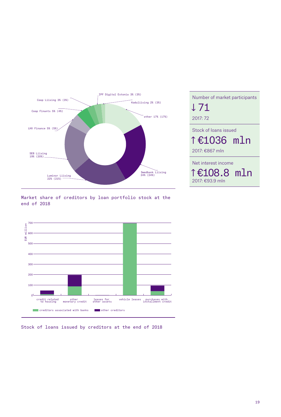

Number of market participants ↓71 2017: 72 Stock of loans issued ↑ €1036 mln 2017: €867 mln Net interest income ↑ €108.8 mln 2017: €93.9 mln

Market share of creditors by loan portfolio stock at the end of 2018



Stock of loans issued by creditors at the end of 2018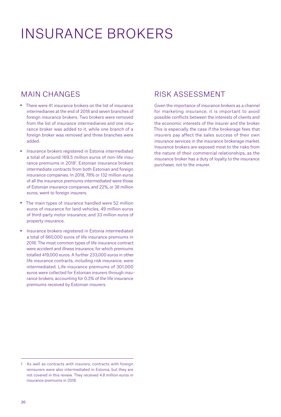## <span id="page-19-0"></span>INSURANCE BROKERS

#### MAIN CHANGES

- There were 41 insurance brokers on the list of insurance intermediaries at the end of 2018 and seven branches of foreign insurance brokers. Two brokers were removed from the list of insurance intermediaries and one insurance broker was added to it, while one branch of a foreign broker was removed and three branches were added.
- Insurance brokers registered in Estonia intermediated a total of around 169.5 million euros of non-life insurance premiums in 20181 . Estonian insurance brokers intermediate contracts from both Estonian and foreign insurance companies. In 2018, 78% or 132 million euros of all the insurance premiums intermediated were those of Estonian insurance companies, and 22%, or 38 million euros, went to foreign insurers.
- The main types of insurance handled were 52 million euros of insurance for land vehicles, 49 million euros of third-party motor insurance, and 33 million euros of property insurance.
- Insurance brokers registered in Estonia intermediated a total of 660,000 euros of life insurance premiums in 2018. The most common types of life insurance contract were accident and illness insurance, for which premiums totalled 419,000 euros. A further 233,000 euros in other life insurance contracts, including risk insurance, were intermediated. Life insurance premiums of 301,000 euros were collected for Estonian insurers through insurance brokers, accounting for 0.3% of the life insurance premiums received by Estonian insurers.

#### RISK ASSESSMENT

Given the importance of insurance brokers as a channel for marketing insurance, it is important to avoid possible conflicts between the interests of clients and the economic interests of the insurer and the broker. This is especially the case if the brokerage fees that insurers pay affect the sales success of their own insurance services in the insurance brokerage market. Insurance brokers are exposed most to the risks from the nature of their commercial relationships, as the insurance broker has a duty of loyalty to the insurance purchaser, not to the insurer.

<sup>1</sup> As well as contracts with insurers, contracts with foreign reinsurers were also intermediated in Estonia, but they are not covered in this review. They received 4.8 million euros in insurance premiums in 2018.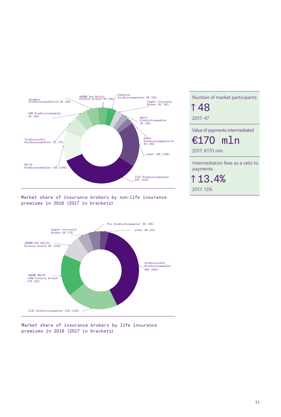

Market share of insurance brokers by non-life insurance premiums in 2018 (2017 in brackets)



Market share of insurance brokers by life insurance premiums in 2018 (2017 in brackets)

| 1 48                              |
|-----------------------------------|
| 2017:47                           |
| Value of payments intermediated   |
| €170 mln                          |
| 2017: €170 mln                    |
| Intermediation fees as a ratio to |
| payments                          |

Number of market participants

↑ 13.4%

2017: 13%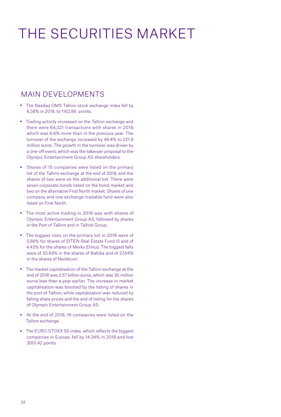## <span id="page-21-0"></span>THE SECURITIES MARKET

#### MAIN DEVELOPMENTS

- The Nasdaq OMX Tallinn stock exchange index fell by 6.38% in 2018, to 1162.86 points.
- Trading activity increased on the Tallinn exchange and there were 64,321 transactions with shares in 2018, which was 6.6% more than in the previous year. The turnover of the exchange increased by 46.4% to 221.9 million euros. The growth in the turnover was driven by a one-off event, which was the takeover proposal to the Olympic Entertainment Group AS shareholders.
- Shares of 15 companies were listed on the primary list of the Tallinn exchange at the end of 2018, and the shares of two were on the additional list. There were seven corporate bonds listed on the bond market and two on the alternative First North market. Shares of one company and one exchange-tradable fund were also listed on First North.
- The most active trading in 2018 was with shares of Olympic Entertainment Group AS, followed by shares in the Port of Tallinn and in Tallink Group.
- The biggest rises on the primary list in 2018 were of 5.88% for shares of EfTEN Real Estate Fund III and of 4.43% for the shares of Merko Ehitus. The biggest falls were of 35.69% in the shares of Baltika and of 27.64% in the shares of Nordecon.
- The market capitalisation of the Tallinn exchange at the end of 2018 was 2.57 billion euros, which was 30 million euros less than a year earlier. The increase in market capitalisation was boosted by the listing of shares in the port of Tallinn, while capitalisation was reduced by falling share prices and the end of listing for the shares of Olympic Entertainment Group AS.
- At the end of 2018, 19 companies were listed on the Tallinn exchange.
- The EURO STOXX 50 index, which reflects the biggest companies in Europe, fell by 14.34% in 2018 and lost 3001.42 points.